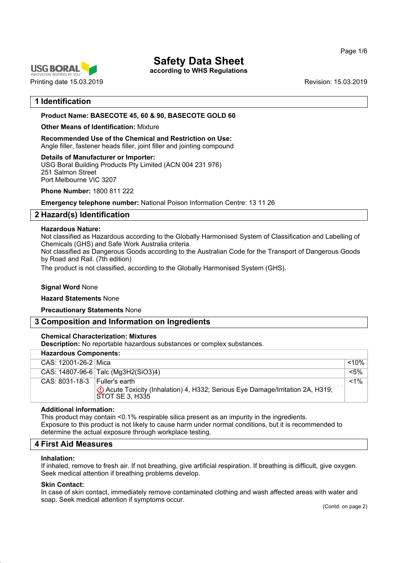



**according to WHS Regulations**

## **1 Identification**

#### **Product Name: BASECOTE 45, 60 & 90, BASECOTE GOLD 60**

#### **Other Means of Identification:** Mixture

**Recommended Use of the Chemical and Restriction on Use:** Angle filler, fastener heads filler, joint filler and jointing compound

#### **Details of Manufacturer or Importer:**

USG Boral Building Products Pty Limited (ACN 004 231 976) 251 Salmon Street Port Melbourne VIC 3207

**Phone Number:** 1800 811 222

**Emergency telephone number:** National Poison Information Centre: 13 11 26

## **2 Hazard(s) Identification**

#### **Hazardous Nature:**

Not classified as Hazardous according to the Globally Harmonised System of Classification and Labelling of Chemicals (GHS) and Safe Work Australia criteria.

Not classified as Dangerous Goods according to the Australian Code for the Transport of Dangerous Goods by Road and Rail. (7th edition)

The product is not classified, according to the Globally Harmonised System (GHS).

#### **Signal Word** None

#### **Hazard Statements** None

**Precautionary Statements** None

## **3 Composition and Information on Ingredients**

#### **Chemical Characterization: Mixtures**

**Description:** No reportable hazardous substances or complex substances.

| <b>Hazardous Components:</b>      |                                                                                                        |          |  |
|-----------------------------------|--------------------------------------------------------------------------------------------------------|----------|--|
| CAS: 12001-26-2 Mica              |                                                                                                        | $< 10\%$ |  |
|                                   | CAS: 14807-96-6 Talc (Mg3H2(SiO3)4)                                                                    | $< 5\%$  |  |
| $CAS: 8031-18-3$   Fuller's earth | (!) Acute Toxicity (Inhalation) 4, H332; Serious Eye Damage/Irritation 2A, H319;<br>  STOT SE 3. H335` | $< 1\%$  |  |

#### **Additional information:**

This product may contain <0.1% respirable silica present as an impurity in the ingredients. Exposure to this product is not likely to cause harm under normal conditions, but it is recommended to determine the actual exposure through workplace testing.

#### **4 First Aid Measures**

#### **Inhalation:**

If inhaled, remove to fresh air. If not breathing, give artificial respiration. If breathing is difficult, give oxygen. Seek medical attention if breathing problems develop.

#### **Skin Contact:**

In case of skin contact, immediately remove contaminated clothing and wash affected areas with water and soap. Seek medical attention if symptoms occur.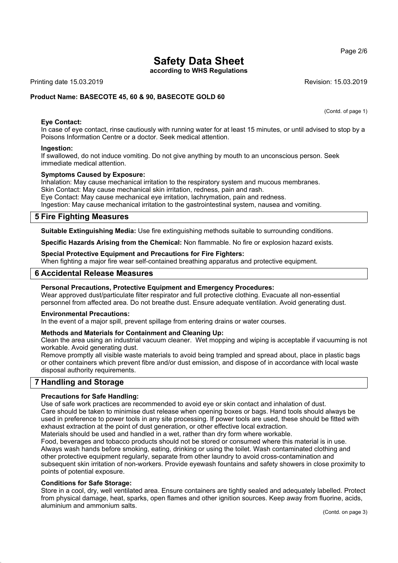**according to WHS Regulations**

Printing date 15.03.2019 **Revision: 15.03.2019** Revision: 15.03.2019

(Contd. of page 1)

#### **Product Name: BASECOTE 45, 60 & 90, BASECOTE GOLD 60**

#### **Eye Contact:**

In case of eye contact, rinse cautiously with running water for at least 15 minutes, or until advised to stop by a Poisons Information Centre or a doctor. Seek medical attention.

#### **Ingestion:**

If swallowed, do not induce vomiting. Do not give anything by mouth to an unconscious person. Seek immediate medical attention.

#### **Symptoms Caused by Exposure:**

Inhalation: May cause mechanical irritation to the respiratory system and mucous membranes. Skin Contact: May cause mechanical skin irritation, redness, pain and rash. Eye Contact: May cause mechanical eye irritation, lachrymation, pain and redness. Ingestion: May cause mechanical irritation to the gastrointestinal system, nausea and vomiting.

### **5 Fire Fighting Measures**

**Suitable Extinguishing Media:** Use fire extinguishing methods suitable to surrounding conditions.

**Specific Hazards Arising from the Chemical:** Non flammable. No fire or explosion hazard exists.

#### **Special Protective Equipment and Precautions for Fire Fighters:**

When fighting a major fire wear self-contained breathing apparatus and protective equipment.

#### **6 Accidental Release Measures**

**Personal Precautions, Protective Equipment and Emergency Procedures:**

Wear approved dust/particulate filter respirator and full protective clothing. Evacuate all non-essential personnel from affected area. Do not breathe dust. Ensure adequate ventilation. Avoid generating dust.

#### **Environmental Precautions:**

In the event of a major spill, prevent spillage from entering drains or water courses.

#### **Methods and Materials for Containment and Cleaning Up:**

Clean the area using an industrial vacuum cleaner. Wet mopping and wiping is acceptable if vacuuming is not workable. Avoid generating dust.

Remove promptly all visible waste materials to avoid being trampled and spread about, place in plastic bags or other containers which prevent fibre and/or dust emission, and dispose of in accordance with local waste disposal authority requirements.

#### **7 Handling and Storage**

#### **Precautions for Safe Handling:**

Use of safe work practices are recommended to avoid eye or skin contact and inhalation of dust.

Care should be taken to minimise dust release when opening boxes or bags. Hand tools should always be used in preference to power tools in any site processing. If power tools are used, these should be fitted with exhaust extraction at the point of dust generation, or other effective local extraction.

Materials should be used and handled in a wet, rather than dry form where workable.

Food, beverages and tobacco products should not be stored or consumed where this material is in use. Always wash hands before smoking, eating, drinking or using the toilet. Wash contaminated clothing and other protective equipment regularly, separate from other laundry to avoid cross-contamination and subsequent skin irritation of non-workers. Provide eyewash fountains and safety showers in close proximity to points of potential exposure.

#### **Conditions for Safe Storage:**

Store in a cool, dry, well ventilated area. Ensure containers are tightly sealed and adequately labelled. Protect from physical damage, heat, sparks, open flames and other ignition sources. Keep away from fluorine, acids, aluminium and ammonium salts.

#### Page 2/6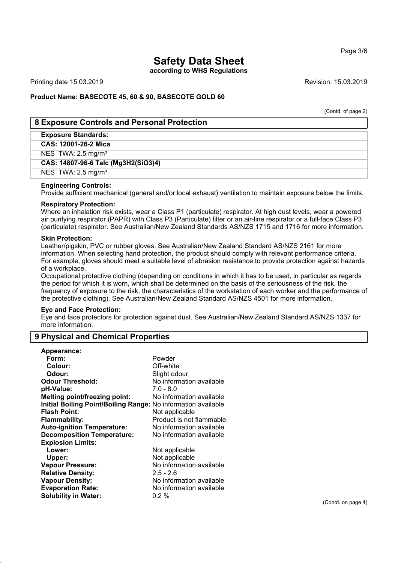**according to WHS Regulations**

Printing date 15.03.2019 **Revision: 15.03.2019** Revision: 15.03.2019

#### **Product Name: BASECOTE 45, 60 & 90, BASECOTE GOLD 60**

(Contd. of page 2)

#### **8 Exposure Controls and Personal Protection**

#### **Exposure Standards:**

**CAS: 12001-26-2 Mica**

NES TWA: 2.5 mg/m³

#### **CAS: 14807-96-6 Talc (Mg3H2(SiO3)4)**

 $NES$  TWA: 2.5 mg/m<sup>3</sup>

#### **Engineering Controls:**

Provide sufficient mechanical (general and/or local exhaust) ventilation to maintain exposure below the limits.

#### **Respiratory Protection:**

Where an inhalation risk exists, wear a Class P1 (particulate) respirator. At high dust levels, wear a powered air purifying respirator (PAPR) with Class P3 (Particulate) filter or an air-line respirator or a full-face Class P3 (particulate) respirator. See Australian/New Zealand Standards AS/NZS 1715 and 1716 for more information.

#### **Skin Protection:**

Leather/pigskin, PVC or rubber gloves. See Australian/New Zealand Standard AS/NZS 2161 for more information. When selecting hand protection, the product should comply with relevant performance criteria. For example, gloves should meet a suitable level of abrasion resistance to provide protection against hazards of a workplace.

Occupational protective clothing (depending on conditions in which it has to be used, in particular as regards the period for which it is worn, which shall be determined on the basis of the seriousness of the risk, the frequency of exposure to the risk, the characteristics of the workstation of each worker and the performance of the protective clothing). See Australian/New Zealand Standard AS/NZS 4501 for more information.

#### **Eye and Face Protection:**

Eye and face protectors for protection against dust. See Australian/New Zealand Standard AS/NZS 1337 for more information.

#### **9 Physical and Chemical Properties**

| Appearance:                                                   |                           |
|---------------------------------------------------------------|---------------------------|
| Form:                                                         | Powder                    |
| Colour:                                                       | Off-white                 |
| Odour:                                                        | Slight odour              |
| <b>Odour Threshold:</b>                                       | No information available  |
| pH-Value:                                                     | 7.0 - 8.0                 |
| <b>Melting point/freezing point:</b>                          | No information available  |
| Initial Boiling Point/Boiling Range: No information available |                           |
| <b>Flash Point:</b>                                           | Not applicable            |
| Flammability:                                                 | Product is not flammable. |
| <b>Auto-ignition Temperature:</b>                             | No information available  |
| <b>Decomposition Temperature:</b>                             | No information available  |
| <b>Explosion Limits:</b>                                      |                           |
| Lower:                                                        | Not applicable            |
| Upper:                                                        | Not applicable            |
| <b>Vapour Pressure:</b>                                       | No information available  |
| <b>Relative Density:</b>                                      | $2.5 - 2.6$               |
| <b>Vapour Density:</b>                                        | No information available  |
| <b>Evaporation Rate:</b>                                      | No information available  |
| <b>Solubility in Water:</b>                                   | $0.2\%$                   |
|                                                               |                           |

(Contd. on page 4)

Page 3/6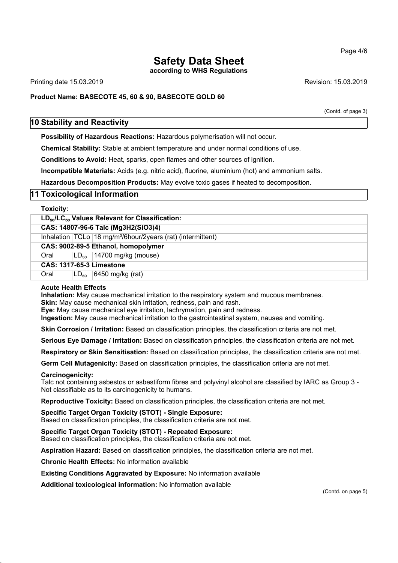**according to WHS Regulations**

Printing date 15.03.2019 Revision: 15.03.2019

**Product Name: BASECOTE 45, 60 & 90, BASECOTE GOLD 60**

(Contd. of page 3)

### **10 Stability and Reactivity**

**Possibility of Hazardous Reactions:** Hazardous polymerisation will not occur.

**Chemical Stability:** Stable at ambient temperature and under normal conditions of use.

**Conditions to Avoid:** Heat, sparks, open flames and other sources of ignition.

**Incompatible Materials:** Acids (e.g. nitric acid), fluorine, aluminium (hot) and ammonium salts.

**Hazardous Decomposition Products:** May evolve toxic gases if heated to decomposition.

### **11 Toxicological Information**

| <b>Toxicity:</b>                                                       |           |                                                                           |
|------------------------------------------------------------------------|-----------|---------------------------------------------------------------------------|
| LD <sub>50</sub> /LC <sub>50</sub> Values Relevant for Classification: |           |                                                                           |
| CAS: 14807-96-6 Talc (Mg3H2(SiO3)4)                                    |           |                                                                           |
|                                                                        |           | Inhalation $TCLo$ 18 mg/m <sup>3</sup> /6hour/2years (rat) (intermittent) |
| CAS: 9002-89-5 Ethanol, homopolymer                                    |           |                                                                           |
| Oral                                                                   |           | $LD_{50}$   14700 mg/kg (mouse)                                           |
| <b>CAS: 1317-65-3 Limestone</b>                                        |           |                                                                           |
| Oral                                                                   | $LD_{50}$ | $\vert 6450 \rangle$ mg/kg (rat)                                          |

#### **Acute Health Effects**

**Inhalation:** May cause mechanical irritation to the respiratory system and mucous membranes. **Skin:** May cause mechanical skin irritation, redness, pain and rash.

**Eye:** May cause mechanical eye irritation, lachrymation, pain and redness.

**Ingestion:** May cause mechanical irritation to the gastrointestinal system, nausea and vomiting.

**Skin Corrosion / Irritation:** Based on classification principles, the classification criteria are not met.

**Serious Eye Damage / Irritation:** Based on classification principles, the classification criteria are not met.

**Respiratory or Skin Sensitisation:** Based on classification principles, the classification criteria are not met.

**Germ Cell Mutagenicity:** Based on classification principles, the classification criteria are not met.

#### **Carcinogenicity:**

Talc not containing asbestos or asbestiform fibres and polyvinyl alcohol are classified by IARC as Group 3 - Not classifiable as to its carcinogenicity to humans.

**Reproductive Toxicity:** Based on classification principles, the classification criteria are not met.

**Specific Target Organ Toxicity (STOT) - Single Exposure:** Based on classification principles, the classification criteria are not met.

**Specific Target Organ Toxicity (STOT) - Repeated Exposure:** Based on classification principles, the classification criteria are not met.

**Aspiration Hazard:** Based on classification principles, the classification criteria are not met.

**Chronic Health Effects:** No information available

**Existing Conditions Aggravated by Exposure:** No information available

**Additional toxicological information:** No information available

(Contd. on page 5)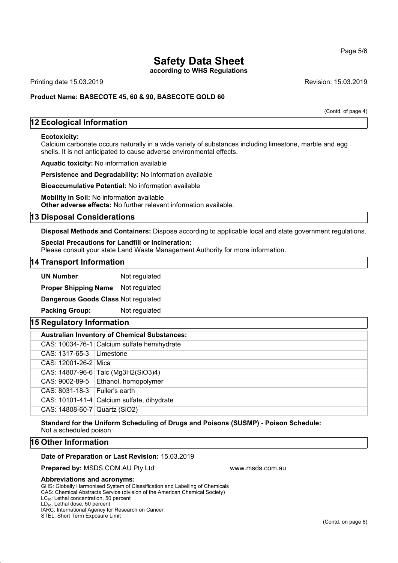**according to WHS Regulations**

Printing date 15.03.2019 **Revision: 15.03.2019** Revision: 15.03.2019

**Product Name: BASECOTE 45, 60 & 90, BASECOTE GOLD 60**

(Contd. of page 4)

## **12 Ecological Information**

#### **Ecotoxicity:**

Calcium carbonate occurs naturally in a wide variety of substances including limestone, marble and egg shells. It is not anticipated to cause adverse environmental effects.

**Aquatic toxicity:** No information available

**Persistence and Degradability:** No information available

**Bioaccumulative Potential:** No information available

**Mobility in Soil:** No information available **Other adverse effects:** No further relevant information available.

#### **13 Disposal Considerations**

**Disposal Methods and Containers:** Dispose according to applicable local and state government regulations.

**Special Precautions for Landfill or Incineration:**

Please consult your state Land Waste Management Authority for more information.

#### **14 Transport Information**

**UN Number** Not regulated

**Proper Shipping Name** Not regulated

**Dangerous Goods Class** Not regulated

**Packing Group:** Not regulated

### **15 Regulatory Information**

| <b>Australian Inventory of Chemical Substances:</b> |                                             |  |
|-----------------------------------------------------|---------------------------------------------|--|
|                                                     | CAS: 10034-76-1 Calcium sulfate hemihydrate |  |
| $CAS: 1317-65-3$ Limestone                          |                                             |  |
| CAS: 12001-26-2 Mica                                |                                             |  |
|                                                     | CAS: 14807-96-6 Talc (Mg3H2(SiO3)4)         |  |
|                                                     | CAS: 9002-89-5   Ethanol, homopolymer       |  |
| $CAS: 8031-18-3$   Fuller's earth                   |                                             |  |
|                                                     | CAS: 10101-41-4 Calcium sulfate, dihydrate  |  |
| CAS: 14808-60-7 Quartz (SiO2)                       |                                             |  |

**Standard for the Uniform Scheduling of Drugs and Poisons (SUSMP) - Poison Schedule:** Not a scheduled poison.

#### **16 Other Information**

#### **Date of Preparation or Last Revision:** 15.03.2019

**Prepared by: MSDS.COM.AU Pty Ltd www.msds.com.au** 

#### **Abbreviations and acronyms:**

GHS: Globally Harmonised System of Classification and Labelling of Chemicals

CAS: Chemical Abstracts Service (division of the American Chemical Society)

IARC: International Agency for Research on Cancer STEL: Short Term Exposure Limit

Page 5/6